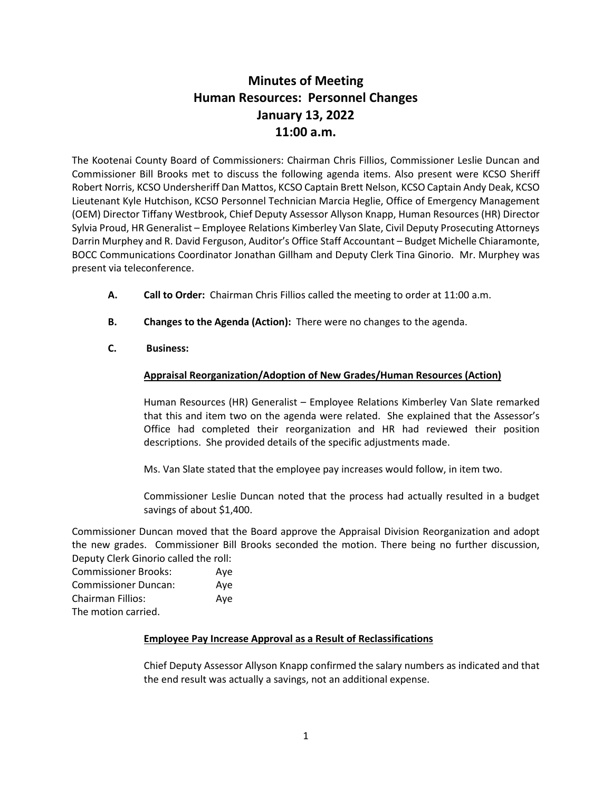# **Minutes of Meeting Human Resources: Personnel Changes January 13, 2022 11:00 a.m.**

The Kootenai County Board of Commissioners: Chairman Chris Fillios, Commissioner Leslie Duncan and Commissioner Bill Brooks met to discuss the following agenda items. Also present were KCSO Sheriff Robert Norris, KCSO Undersheriff Dan Mattos, KCSO Captain Brett Nelson, KCSO Captain Andy Deak, KCSO Lieutenant Kyle Hutchison, KCSO Personnel Technician Marcia Heglie, Office of Emergency Management (OEM) Director Tiffany Westbrook, Chief Deputy Assessor Allyson Knapp, Human Resources (HR) Director Sylvia Proud, HR Generalist – Employee Relations Kimberley Van Slate, Civil Deputy Prosecuting Attorneys Darrin Murphey and R. David Ferguson, Auditor's Office Staff Accountant – Budget Michelle Chiaramonte, BOCC Communications Coordinator Jonathan Gillham and Deputy Clerk Tina Ginorio. Mr. Murphey was present via teleconference.

- **A. Call to Order:** Chairman Chris Fillios called the meeting to order at 11:00 a.m.
- **B. Changes to the Agenda (Action):** There were no changes to the agenda.
- **C. Business:**

## **Appraisal Reorganization/Adoption of New Grades/Human Resources (Action)**

Human Resources (HR) Generalist – Employee Relations Kimberley Van Slate remarked that this and item two on the agenda were related. She explained that the Assessor's Office had completed their reorganization and HR had reviewed their position descriptions. She provided details of the specific adjustments made.

Ms. Van Slate stated that the employee pay increases would follow, in item two.

Commissioner Leslie Duncan noted that the process had actually resulted in a budget savings of about \$1,400.

Commissioner Duncan moved that the Board approve the Appraisal Division Reorganization and adopt the new grades. Commissioner Bill Brooks seconded the motion. There being no further discussion, Deputy Clerk Ginorio called the roll:

| <b>Commissioner Brooks:</b> | Aye |
|-----------------------------|-----|
| <b>Commissioner Duncan:</b> | Aye |
| Chairman Fillios:           | Aye |
| The motion carried.         |     |

## **Employee Pay Increase Approval as a Result of Reclassifications**

Chief Deputy Assessor Allyson Knapp confirmed the salary numbers as indicated and that the end result was actually a savings, not an additional expense.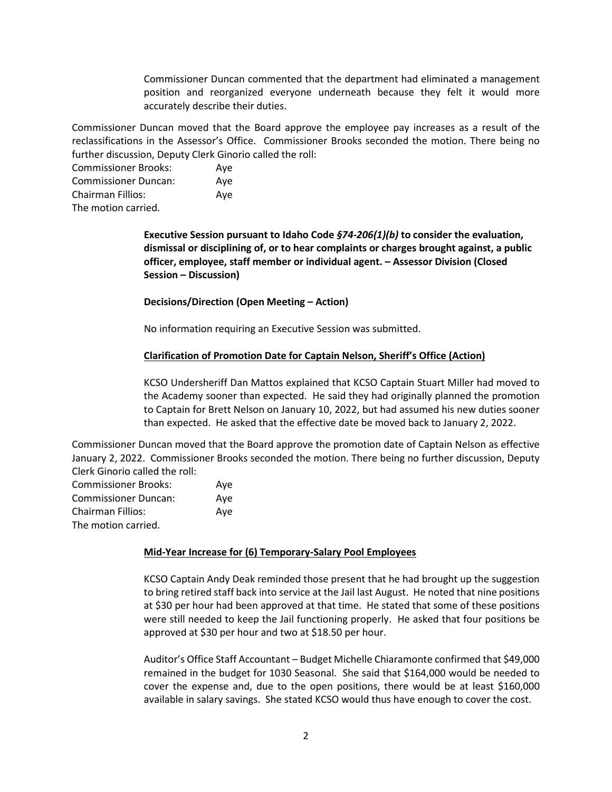Commissioner Duncan commented that the department had eliminated a management position and reorganized everyone underneath because they felt it would more accurately describe their duties.

Commissioner Duncan moved that the Board approve the employee pay increases as a result of the reclassifications in the Assessor's Office. Commissioner Brooks seconded the motion. There being no further discussion, Deputy Clerk Ginorio called the roll:

Commissioner Brooks: Aye Commissioner Duncan: Aye Chairman Fillios: Aye The motion carried.

> **Executive Session pursuant to Idaho Code** *§74-206(1)(b)* **to consider the evaluation, dismissal or disciplining of, or to hear complaints or charges brought against, a public officer, employee, staff member or individual agent. – Assessor Division (Closed Session – Discussion)**

**Decisions/Direction (Open Meeting – Action)**

No information requiring an Executive Session was submitted.

#### **Clarification of Promotion Date for Captain Nelson, Sheriff's Office (Action)**

KCSO Undersheriff Dan Mattos explained that KCSO Captain Stuart Miller had moved to the Academy sooner than expected. He said they had originally planned the promotion to Captain for Brett Nelson on January 10, 2022, but had assumed his new duties sooner than expected. He asked that the effective date be moved back to January 2, 2022.

Commissioner Duncan moved that the Board approve the promotion date of Captain Nelson as effective January 2, 2022. Commissioner Brooks seconded the motion. There being no further discussion, Deputy Clerk Ginorio called the roll:

| <b>Commissioner Brooks:</b> | Ave |
|-----------------------------|-----|
| <b>Commissioner Duncan:</b> | Ave |
| Chairman Fillios:           | Ave |
| The motion carried.         |     |

#### **Mid-Year Increase for (6) Temporary-Salary Pool Employees**

KCSO Captain Andy Deak reminded those present that he had brought up the suggestion to bring retired staff back into service at the Jail last August. He noted that nine positions at \$30 per hour had been approved at that time. He stated that some of these positions were still needed to keep the Jail functioning properly. He asked that four positions be approved at \$30 per hour and two at \$18.50 per hour.

Auditor's Office Staff Accountant – Budget Michelle Chiaramonte confirmed that \$49,000 remained in the budget for 1030 Seasonal. She said that \$164,000 would be needed to cover the expense and, due to the open positions, there would be at least \$160,000 available in salary savings. She stated KCSO would thus have enough to cover the cost.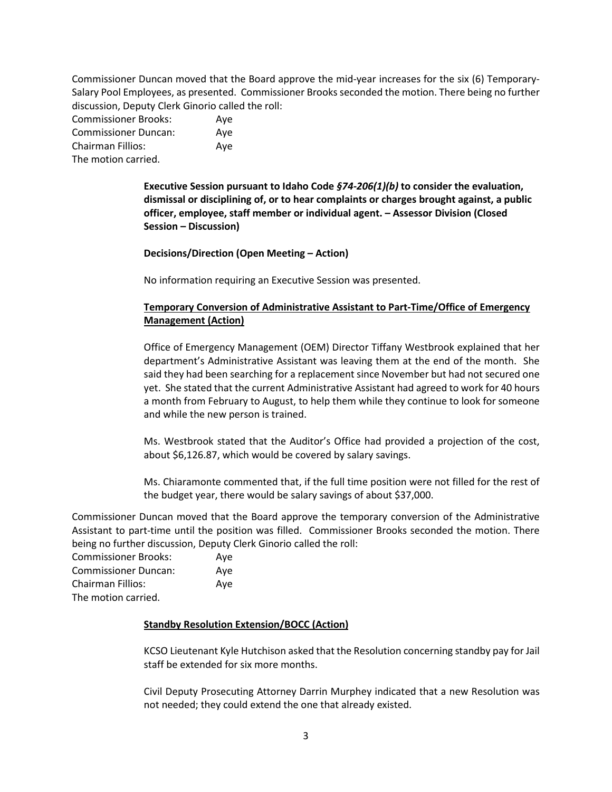Commissioner Duncan moved that the Board approve the mid-year increases for the six (6) Temporary-Salary Pool Employees, as presented. Commissioner Brooks seconded the motion. There being no further discussion, Deputy Clerk Ginorio called the roll:

| <b>Commissioner Brooks:</b> | Aye |
|-----------------------------|-----|
| <b>Commissioner Duncan:</b> | Ave |
| <b>Chairman Fillios:</b>    | Aye |
| The motion carried.         |     |

**Executive Session pursuant to Idaho Code** *§74-206(1)(b)* **to consider the evaluation, dismissal or disciplining of, or to hear complaints or charges brought against, a public officer, employee, staff member or individual agent. – Assessor Division (Closed Session – Discussion)**

**Decisions/Direction (Open Meeting – Action)**

No information requiring an Executive Session was presented.

## **Temporary Conversion of Administrative Assistant to Part-Time/Office of Emergency Management (Action)**

Office of Emergency Management (OEM) Director Tiffany Westbrook explained that her department's Administrative Assistant was leaving them at the end of the month. She said they had been searching for a replacement since November but had not secured one yet. She stated that the current Administrative Assistant had agreed to work for 40 hours a month from February to August, to help them while they continue to look for someone and while the new person is trained.

Ms. Westbrook stated that the Auditor's Office had provided a projection of the cost, about \$6,126.87, which would be covered by salary savings.

Ms. Chiaramonte commented that, if the full time position were not filled for the rest of the budget year, there would be salary savings of about \$37,000.

Commissioner Duncan moved that the Board approve the temporary conversion of the Administrative Assistant to part-time until the position was filled. Commissioner Brooks seconded the motion. There being no further discussion, Deputy Clerk Ginorio called the roll:

| <b>Commissioner Brooks:</b> | Ave |
|-----------------------------|-----|
| <b>Commissioner Duncan:</b> | Ave |
| Chairman Fillios:           | Ave |
| The motion carried          |     |

The motion carried.

## **Standby Resolution Extension/BOCC (Action)**

KCSO Lieutenant Kyle Hutchison asked that the Resolution concerning standby pay for Jail staff be extended for six more months.

Civil Deputy Prosecuting Attorney Darrin Murphey indicated that a new Resolution was not needed; they could extend the one that already existed.